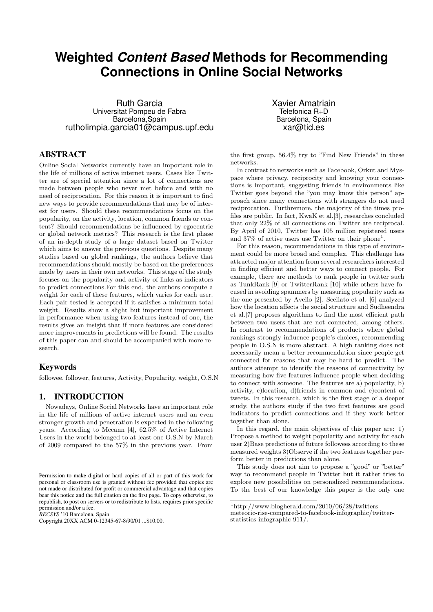# **Weighted** *Content Based* **Methods for Recommending Connections in Online Social Networks**

Ruth Garcia Universitat Pompeu de Fabra Barcelona,Spain rutholimpia.garcia01@campus.upf.edu

# ABSTRACT

Online Social Networks currently have an important role in the life of millions of active internet users. Cases like Twitter are of special attention since a lot of connections are made between people who never met before and with no need of reciprocation. For this reason it is important to find new ways to provide recommendations that may be of interest for users. Should these recommendations focus on the popularity, on the activity, location, common friends or content? Should recommendations be influenced by egocentric or global network metrics? This research is the first phase of an in-depth study of a large dataset based on Twitter which aims to answer the previous questions. Despite many studies based on global rankings, the authors believe that recommendations should mostly be based on the preferences made by users in their own networks. This stage of the study focuses on the popularity and activity of links as indicators to predict connections.For this end, the authors compute a weight for each of these features, which varies for each user. Each pair tested is accepted if it satisfies a minimum total weight. Results show a slight but important improvement in performance when using two features instead of one, the results gives an insight that if more features are considered more improvements in predictions will be found. The results of this paper can and should be accompanied with more research.

# Keywords

followee, follower, features, Activity, Popularity, weight, O.S.N

# 1. INTRODUCTION

Nowadays, Online Social Networks have an important role in the life of millions of active internet users and an even stronger growth and penetration is expected in the following years. According to Mccann [4], 62.5% of Active Internet Users in the world belonged to at least one O.S.N by March of 2009 compared to the 57% in the previous year. From

*RECSYS* '10 Barcelona, Spain

Xavier Amatriain Telefonica R+D Barcelona, Spain xar@tid.es

the first group, 56.4% try to "Find New Friends" in these networks.

In contrast to networks such as Facebook, Orkut and Myspace where privacy, reciprocity and knowing your connections is important, suggesting friends in environments like Twitter goes beyond the "you may know this person" approach since many connections with strangers do not need reciprocation. Furthremore, the majority of the times profiles are public. In fact, KwaK et al.[3], researches concluded that only 22% of all connections on Twitter are reciprocal. By April of 2010, Twitter has 105 million registered users and 37% of active users use Twitter on their phone<sup>1</sup>.

For this reason, recommendations in this type of environment could be more broad and complex. This challenge has attracted major attention from several researchers interested in finding efficient and better ways to connect people. For example, there are methods to rank people in twitter such as TunkRank [9] or TwitterRank [10] while others have focused in avoiding spammers by measuring popularity such as the one presented by Avello [2]. Scellato et al. [6] analyzed how the location affects the social structure and Sudheendra et al.[7] proposes algorithms to find the most efficient path between two users that are not connected, among others. In contrast to recommendations of products where global rankings strongly influence people's choices, recommending people in O.S.N is more abstract. A high ranking does not necessarily mean a better recommendation since people get connected for reasons that may be hard to predict. The authors attempt to identify the reasons of connectivity by measuring how five features influence people when deciding to connect with someone. The features are a) popularity, b) activity, c)location, d)friends in common and e)content of tweets. In this research, which is the first stage of a deeper study, the authors study if the two first features are good indicators to predict connections and if they work better together than alone.

In this regard, the main objectives of this paper are: 1) Propose a method to weight popularity and activity for each user 2)Base predictions of future followees according to these measured weights 3)Observe if the two features together perform better in predictions than alone.

This study does not aim to propose a "good" or "better" way to recommend people in Twitter but it rather tries to explore new possibilities on personalized recommendations. To the best of our knowledge this paper is the only one

Permission to make digital or hard copies of all or part of this work for personal or classroom use is granted without fee provided that copies are not made or distributed for profit or commercial advantage and that copies bear this notice and the full citation on the first page. To copy otherwise, to republish, to post on servers or to redistribute to lists, requires prior specific permission and/or a fee.

Copyright 20XX ACM 0-12345-67-8/90/01 ...\$10.00.

 $1$ http://www.blogherald.com/2010/06/28/twitters-

meteoric-rise-compared-to-facebook-infographic/twitterstatistics-infographic-911/.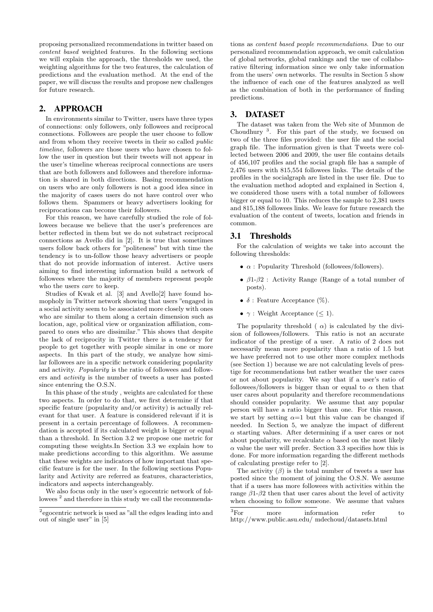proposing personalized recommendations in twitter based on content based weighted features. In the following sections we will explain the approach, the thresholds we used, the weighting algorithms for the two features, the calculation of predictions and the evaluation method. At the end of the paper, we will discuss the results and propose new challenges for future research.

# 2. APPROACH

In environments similar to Twitter, users have three types of connections: only followers, only followees and reciprocal connections. Followees are people the user choose to follow and from whom they receive tweets in their so called public timeline, followers are those users who have chosen to follow the user in question but their tweets will not appear in the user's timeline whereas reciprocal connections are users that are both followers and followees and therefore information is shared in both directions. Basing recommendation on users who are only followers is not a good idea since in the majority of cases users do not have control over who follows them. Spammers or heavy advertisers looking for reciprocations can become their followers.

For this reason, we have carefully studied the role of followees because we believe that the user's preferences are better reflected in them but we do not substract reciprocal connections as Avello did in [2]. It is true that sometimes users follow back others for "politeness" but with time the tendency is to un-follow those heavy advertisers or people that do not provide information of interest. Active users aiming to find interesting information build a network of followees where the majority of members represent people who the users care to keep.

Studies of Kwak et al. [3] and Avello[2] have found homopholy in Twitter network showing that users "engaged in a social activity seem to be associated more closely with ones who are similar to them along a certain dimension such as location, age, political view or organization affiliation, compared to ones who are dissimilar." This shows that despite the lack of reciprocity in Twitter there is a tendency for people to get together with people similar in one or more aspects. In this part of the study, we analyze how similar followees are in a specific network considering popularity and activity. Popularity is the ratio of followees and followers and activity is the number of tweets a user has posted since entenring the O.S.N.

In this phase of the study , weights are calculated for these two aspects. In order to do that, we first determine if that specific feature (popularity and/or activity) is actually relevant for that user. A feature is considered relevant if it is present in a certain percentage of followees. A recommendation is accepted if its calculated weight is bigger or equal than a threshold. In Section 3.2 we propose one metric for computing these weights.In Section 3.3 we explain how to make predictions according to this algorithm. We assume that these weights are indicators of how important that specific feature is for the user. In the following sections Popularity and Activity are referred as features, characteristics, indicators and aspects interchangeably.

We also focus only in the user's egocentric network of followees<sup>2</sup> and therefore in this study we call the recommenda-

tions as content based people recommendations. Due to our personalized recommendation approach, we omit calculation of global networks, global rankings and the use of collaborative filtering information since we only take information from the users' own networks. The results in Section 5 show the influence of each one of the features analyzed as well as the combination of both in the performance of finding predictions.

# 3. DATASET

The dataset was taken from the Web site of Munmon de Choudhury <sup>3</sup> . For this part of the study, we focused on two of the three files provided: the user file and the social graph file. The information given is that Tweets were collected between 2006 and 2009, the user file contains details of 456,107 profiles and the social graph file has a sample of 2,476 users with 815,554 followees links. The details of the profiles in the socialgraph are listed in the user file. Due to the evaluation method adopted and explained in Section 4, we considered those users with a total number of followees bigger or equal to 10. This reduces the sample to 2,381 users and 815,188 followees links. We leave for future research the evaluation of the content of tweets, location and friends in common.

### 3.1 Thresholds

For the calculation of weights we take into account the following thresholds:

- $\alpha$ : Popularity Threshold (followees/followers).
- $\beta$ 1- $\beta$ 2 : Activity Range (Range of a total number of posts).
- $\delta$ : Feature Acceptance (%).
- $\gamma$ : Weight Acceptance ( $\leq 1$ ).

The popularity threshold ( $\alpha$ ) is calculated by the division of followees/followers. This ratio is not an accurate indicator of the prestige of a user. A ratio of 2 does not necessarily mean more popularity than a ratio of 1.5 but we have preferred not to use other more complex methods (see Section 1) because we are not calculating levels of prestige for recommendations but rather weather the user cares or not about popularity. We say that if a user's ratio of followees/followers is bigger than or equal to  $\alpha$  then that user cares about popularity and therefore recommendations should consider popularity. We assume that any popular person will have a ratio bigger than one. For this reason, we start by setting  $\alpha=1$  but this value can be changed if needed. In Section 5, we analyze the impact of different  $\alpha$  starting values. After determining if a user cares or not about popularity, we recalculate  $\alpha$  based on the most likely  $\alpha$  value the user will prefer. Section 3.3 specifies how this is done. For more information regarding the different methods of calculating prestige refer to [2].

The activity  $(\beta)$  is the total number of tweets a user has posted since the moment of joining the O.S.N. We assume that if a users has more followees with activities within the range  $\beta$ 1- $\beta$ 2 then that user cares about the level of activity when choosing to follow someone. We assume that values

<sup>&</sup>lt;sup>2</sup> egocentric network is used as "all the edges leading into and out of single user" in [5]

<sup>&</sup>lt;sup>3</sup>For more information refer to http://www.public.asu.edu/ mdechoud/datasets.html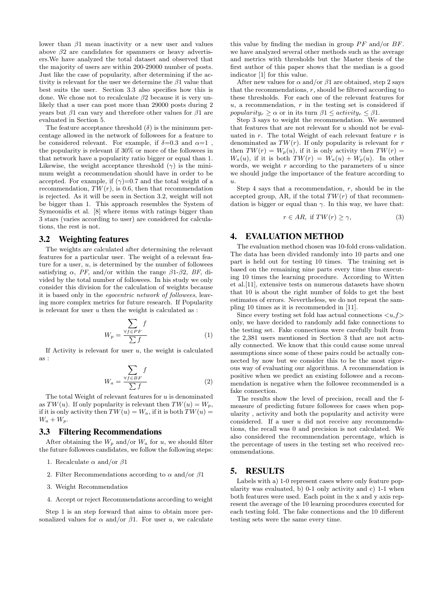lower than  $\beta$ 1 mean inactivity or a new user and values above  $\beta$ 2 are candidates for spammers or heavy advertisers.We have analyzed the total dataset and observed that the majority of users are within 200-29000 number of posts. Just like the case of popularity, after determining if the activity is relevant for the user we determine the  $\beta$ 1 value that best suits the user. Section 3.3 also specifies how this is done. We chose not to recalculate  $\beta$ 2 because it is very unlikely that a user can post more than 29000 posts during 2 years but  $\beta$ 1 can vary and therefore other values for  $\beta$ 1 are evaluated in Section 5.

The feature acceptance threshold  $(\delta)$  is the minimum percentage allowed in the network of followees for a feature to be considered relevant. For example, if  $\delta = 0.3$  and  $\alpha = 1$ . the popularity is relevant if 30% or more of the followees in that network have a popularity ratio bigger or equal than 1. Likewise, the weight acceptance threshold  $(\gamma)$  is the minimum weight a recommendation should have in order to be accepted. For example, if  $(\gamma)=0.7$  and the total weight of a recommendation,  $TW(r)$ , is 0.6, then that recommendation is rejected. As it will be seen in Section 3.2, weight will not be bigger than 1. This approach resembles the System of Symeonidis et al. [8] where items with ratings bigger than 3 stars (varies according to user) are considered for calculations, the rest is not.

#### 3.2 Weighting features

The weights are calculated after determining the relevant features for a particular user. The weight of a relevant feature for a user,  $u$ , is determined by the number of followees satisfying  $\alpha$ , PF, and/or within the range  $\beta$ 1- $\beta$ 2, BF, divided by the total number of followees. In his study we only consider this division for the calculation of weights because it is based only in the egocentric network of followees, leaving more complex metrics for future research. If Popularity is relevant for user  $u$  then the weight is calculated as :

$$
W_p = \frac{\sum_{\forall f \in PF} f}{\sum f} \tag{1}
$$

If Activity is relevant for user  $u$ , the weight is calculated as :

$$
W_a = \frac{\sum_{\forall f \in BF} f}{\sum f} \tag{2}
$$

The total Weight of relevant features for  $u$  is denominated as  $TW(u)$ . If only popularity is relevant then  $TW(u) = W_p$ , if it is only activity then  $TW(u) = W_a$ , if it is both  $TW(u) =$  $W_a + W_p.$ 

#### 3.3 Filtering Recommendations

After obtaining the  $W_p$  and/or  $W_a$  for u, we should filter the future followees candidates, we follow the following steps:

- 1. Recalculate  $\alpha$  and/or  $\beta$ 1
- 2. Filter Recommendations according to  $\alpha$  and/or  $\beta$ 1
- 3. Weight Recommendatios
- 4. Accept or reject Recommendations according to weight

Step 1 is an step forward that aims to obtain more personalized values for  $\alpha$  and/or  $\beta$ 1. For user u, we calculate

this value by finding the median in group  $PF$  and/or  $BF$ . we have analyzed several other methods such as the average and metrics with thresholds but the Master thesis of the first author of this paper shows that the median is a good indicator [1] for this value.

After new values for  $\alpha$  and/or  $\beta$ 1 are obtained, step 2 says that the recommendations,  $r$ , should be filtered according to these thresholds. For each one of the relevant features for  $u$ , a recommendation,  $r$  in the testing set is considered if popularity<sub>r</sub>  $\geq \alpha$  or in its turn  $\beta$ 1  $\leq$  activity<sub>r</sub>  $\leq \beta$ 1.

Step 3 says to weight the recommendation. We assumed that features that are not relevant for  $u$  should not be evaluated in  $r$ . The total Weight of each relevant feature  $r$  is denominated as  $TW(r)$ . If only popularity is relevant for r then  $TW(r) = W_p(u)$ , if it is only activity then  $TW(r) =$  $W_a(u)$ , if it is both  $TW(r) = W_a(u) + W_p(u)$ . In other words, we weight  $r$  according to the parameters of  $u$  since we should judge the importance of the feature according to u.

Step 4 says that a recommendation,  $r$ , should be in the accepted group, AR, if the total  $TW(r)$  of that recommendation is bigger or equal than  $\gamma$ . In this way, we have that:

$$
r \in AR, \text{ if } TW(r) \ge \gamma,\tag{3}
$$

#### 4. EVALUATION METHOD

The evaluation method chosen was 10-fold cross-validation. The data has been divided randomly into 10 parts and one part is held out for testing 10 times. The training set is based on the remaining nine parts every time thus executing 10 times the learning procedure. According to Witten et al.[11], extensive tests on numerous datasets have shown that 10 is about the right number of folds to get the best estimates of errors. Nevertheless, we do not repeat the sampling 10 times as it is recommended in [11].

Since every testing set fold has actual connections  $\langle u, f \rangle$ only, we have decided to randomly add fake connections to the testing set. Fake connections were carefully built from the 2,381 users mentioned in Section 3 that are not actually connected. We know that this could cause some unreal assumptions since some of these pairs could be actually connected by now but we consider this to be the most rigorous way of evaluating our algorithms. A recommendation is positive when we predict an existing followee and a recommendation is negative when the followee recommended is a fake connection.

The results show the level of precision, recall and the fmeasure of predicting future followees for cases when popularity , activity and both the popularity and activity were considered. If a user u did not receive any recommendations, the recall was 0 and precision is not calculated. We also considered the recommendation percentage, which is the percentage of users in the testing set who received recommendations.

#### 5. RESULTS

Labels with a) 1-0 represent cases where only feature popularity was evaluated, b) 0-1 only activity and c) 1-1 when both features were used. Each point in the x and y axis represent the average of the 10 learning procedures executed for each testing fold. The fake connections and the 10 different testing sets were the same every time.